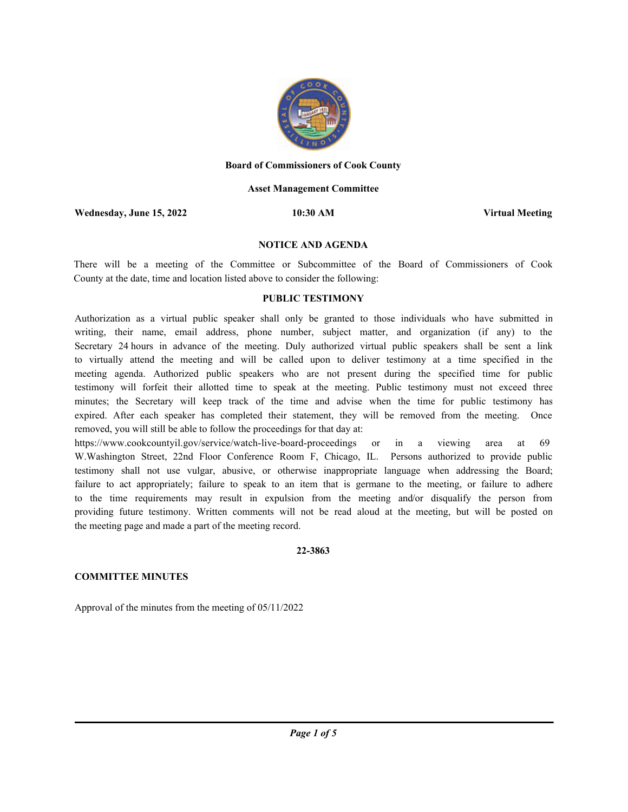

#### **Board of Commissioners of Cook County**

#### **Asset Management Committee**

**Wednesday, June 15, 2022 10:30 AM Virtual Meeting**

#### **NOTICE AND AGENDA**

There will be a meeting of the Committee or Subcommittee of the Board of Commissioners of Cook County at the date, time and location listed above to consider the following:

# **PUBLIC TESTIMONY**

Authorization as a virtual public speaker shall only be granted to those individuals who have submitted in writing, their name, email address, phone number, subject matter, and organization (if any) to the Secretary 24 hours in advance of the meeting. Duly authorized virtual public speakers shall be sent a link to virtually attend the meeting and will be called upon to deliver testimony at a time specified in the meeting agenda. Authorized public speakers who are not present during the specified time for public testimony will forfeit their allotted time to speak at the meeting. Public testimony must not exceed three minutes; the Secretary will keep track of the time and advise when the time for public testimony has expired. After each speaker has completed their statement, they will be removed from the meeting. Once removed, you will still be able to follow the proceedings for that day at:

https://www.cookcountyil.gov/service/watch-live-board-proceedings or in a viewing area at 69 W.Washington Street, 22nd Floor Conference Room F, Chicago, IL. Persons authorized to provide public testimony shall not use vulgar, abusive, or otherwise inappropriate language when addressing the Board; failure to act appropriately; failure to speak to an item that is germane to the meeting, or failure to adhere to the time requirements may result in expulsion from the meeting and/or disqualify the person from providing future testimony. Written comments will not be read aloud at the meeting, but will be posted on the meeting page and made a part of the meeting record.

#### **22-3863**

#### **COMMITTEE MINUTES**

Approval of the minutes from the meeting of 05/11/2022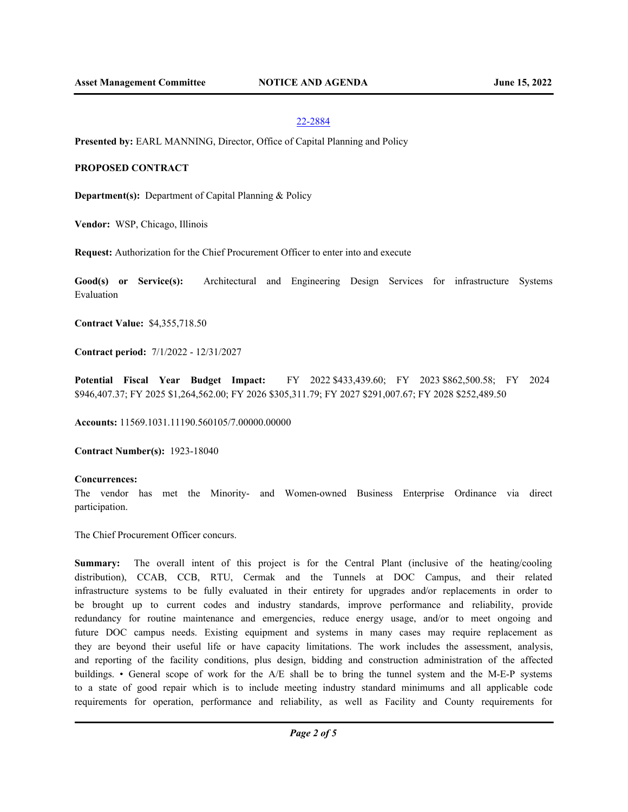#### 22-2884

**Presented by:** EARL MANNING, Director, Office of Capital Planning and Policy

### **PROPOSED CONTRACT**

**Department(s):** Department of Capital Planning & Policy

**Vendor:** WSP, Chicago, Illinois

**Request:** Authorization for the Chief Procurement Officer to enter into and execute

**Good(s) or Service(s):** Architectural and Engineering Design Services for infrastructure Systems Evaluation

**Contract Value:** \$4,355,718.50

**Contract period:** 7/1/2022 - 12/31/2027

**Potential Fiscal Year Budget Impact:** FY 2022 \$433,439.60; FY 2023 \$862,500.58; FY 2024 \$946,407.37; FY 2025 \$1,264,562.00; FY 2026 \$305,311.79; FY 2027 \$291,007.67; FY 2028 \$252,489.50

**Accounts:** 11569.1031.11190.560105/7.00000.00000

**Contract Number(s):** 1923-18040

### **Concurrences:**

The vendor has met the Minority- and Women-owned Business Enterprise Ordinance via direct participation.

The Chief Procurement Officer concurs.

**Summary:** The overall intent of this project is for the Central Plant (inclusive of the heating/cooling distribution), CCAB, CCB, RTU, Cermak and the Tunnels at DOC Campus, and their related infrastructure systems to be fully evaluated in their entirety for upgrades and/or replacements in order to be brought up to current codes and industry standards, improve performance and reliability, provide redundancy for routine maintenance and emergencies, reduce energy usage, and/or to meet ongoing and future DOC campus needs. Existing equipment and systems in many cases may require replacement as they are beyond their useful life or have capacity limitations. The work includes the assessment, analysis, and reporting of the facility conditions, plus design, bidding and construction administration of the affected buildings. • General scope of work for the A/E shall be to bring the tunnel system and the M-E-P systems to a state of good repair which is to include meeting industry standard minimums and all applicable code requirements for operation, performance and reliability, as well as Facility and County requirements for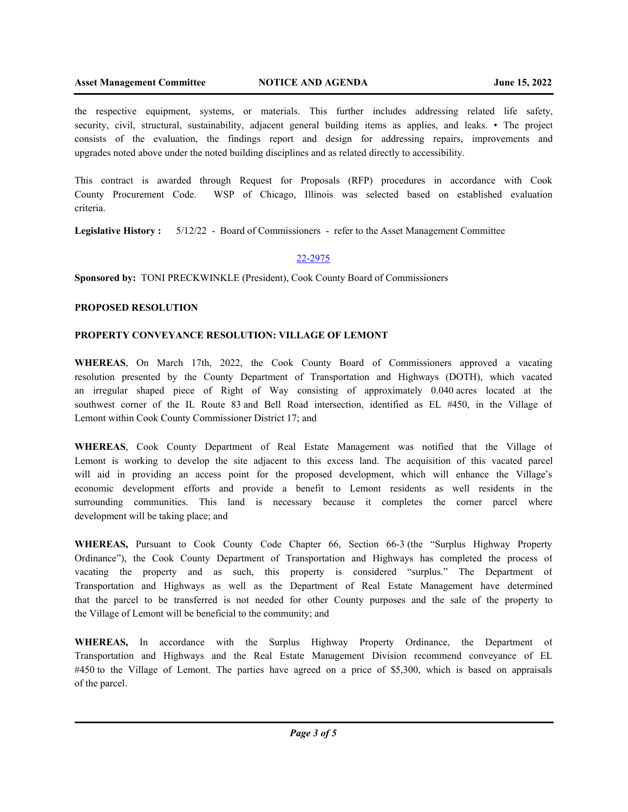the respective equipment, systems, or materials. This further includes addressing related life safety, security, civil, structural, sustainability, adjacent general building items as applies, and leaks. • The project consists of the evaluation, the findings report and design for addressing repairs, improvements and upgrades noted above under the noted building disciplines and as related directly to accessibility.

This contract is awarded through Request for Proposals (RFP) procedures in accordance with Cook County Procurement Code. WSP of Chicago, Illinois was selected based on established evaluation criteria.

**Legislative History :** 5/12/22 - Board of Commissioners - refer to the Asset Management Committee

# 22-2975

**Sponsored by:** TONI PRECKWINKLE (President), Cook County Board of Commissioners

# **PROPOSED RESOLUTION**

# **PROPERTY CONVEYANCE RESOLUTION: VILLAGE OF LEMONT**

**WHEREAS**, On March 17th, 2022, the Cook County Board of Commissioners approved a vacating resolution presented by the County Department of Transportation and Highways (DOTH), which vacated an irregular shaped piece of Right of Way consisting of approximately 0.040 acres located at the southwest corner of the IL Route 83 and Bell Road intersection, identified as EL #450, in the Village of Lemont within Cook County Commissioner District 17; and

**WHEREAS**, Cook County Department of Real Estate Management was notified that the Village of Lemont is working to develop the site adjacent to this excess land. The acquisition of this vacated parcel will aid in providing an access point for the proposed development, which will enhance the Village's economic development efforts and provide a benefit to Lemont residents as well residents in the surrounding communities. This land is necessary because it completes the corner parcel where development will be taking place; and

**WHEREAS,** Pursuant to Cook County Code Chapter 66, Section 66-3 (the "Surplus Highway Property Ordinance"), the Cook County Department of Transportation and Highways has completed the process of vacating the property and as such, this property is considered "surplus." The Department of Transportation and Highways as well as the Department of Real Estate Management have determined that the parcel to be transferred is not needed for other County purposes and the sale of the property to the Village of Lemont will be beneficial to the community; and

**WHEREAS,** In accordance with the Surplus Highway Property Ordinance, the Department of Transportation and Highways and the Real Estate Management Division recommend conveyance of EL #450 to the Village of Lemont. The parties have agreed on a price of \$5,300, which is based on appraisals of the parcel.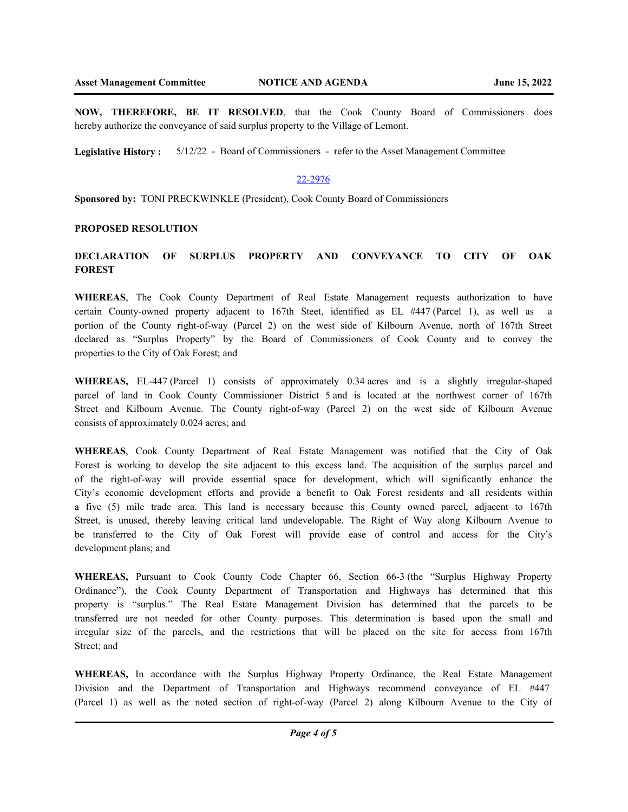**NOW, THEREFORE, BE IT RESOLVED**, that the Cook County Board of Commissioners does hereby authorize the conveyance of said surplus property to the Village of Lemont.

**Legislative History :** 5/12/22 - Board of Commissioners - refer to the Asset Management Committee

# 22-2976

**Sponsored by:** TONI PRECKWINKLE (President), Cook County Board of Commissioners

#### **PROPOSED RESOLUTION**

# **DECLARATION OF SURPLUS PROPERTY AND CONVEYANCE TO CITY OF OAK FOREST**

**WHEREAS**, The Cook County Department of Real Estate Management requests authorization to have certain County-owned property adjacent to 167th Steet, identified as EL #447 (Parcel 1), as well as a portion of the County right-of-way (Parcel 2) on the west side of Kilbourn Avenue, north of 167th Street declared as "Surplus Property" by the Board of Commissioners of Cook County and to convey the properties to the City of Oak Forest; and

WHEREAS, EL-447 (Parcel 1) consists of approximately 0.34 acres and is a slightly irregular-shaped parcel of land in Cook County Commissioner District 5 and is located at the northwest corner of 167th Street and Kilbourn Avenue. The County right-of-way (Parcel 2) on the west side of Kilbourn Avenue consists of approximately 0.024 acres; and

**WHEREAS**, Cook County Department of Real Estate Management was notified that the City of Oak Forest is working to develop the site adjacent to this excess land. The acquisition of the surplus parcel and of the right-of-way will provide essential space for development, which will significantly enhance the City's economic development efforts and provide a benefit to Oak Forest residents and all residents within a five (5) mile trade area. This land is necessary because this County owned parcel, adjacent to 167th Street, is unused, thereby leaving critical land undevelopable. The Right of Way along Kilbourn Avenue to be transferred to the City of Oak Forest will provide ease of control and access for the City's development plans; and

**WHEREAS,** Pursuant to Cook County Code Chapter 66, Section 66-3 (the "Surplus Highway Property Ordinance"), the Cook County Department of Transportation and Highways has determined that this property is "surplus." The Real Estate Management Division has determined that the parcels to be transferred are not needed for other County purposes. This determination is based upon the small and irregular size of the parcels, and the restrictions that will be placed on the site for access from 167th Street; and

**WHEREAS,** In accordance with the Surplus Highway Property Ordinance, the Real Estate Management Division and the Department of Transportation and Highways recommend conveyance of EL #447 (Parcel 1) as well as the noted section of right-of-way (Parcel 2) along Kilbourn Avenue to the City of